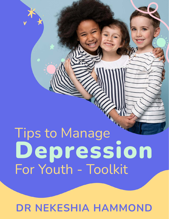# Tips to Manage Depression For Youth - Toolkit

DR NEKESHIA HAMMOND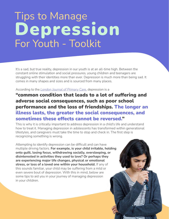## Tips to Manage Depression For Youth - Toolkit

It's a sad, but true reality, depression in our youth is at an all-time high. Between the constant online stimulation and social pressures, young children and teenagers are struggling with their identities more than ever. Depression is much more than being sad. It comes in many shapes and sizes and is sourced from many places.

According to the *[London Journal of Primary Care,](https://www.ncbi.nlm.nih.gov/pmc/articles/PMC4453693/)* depression is a

#### "common condition that leads to a lot of suffering and adverse social consequences, such as poor school performance and the loss of friendships. The longer an illness lasts, the greater the social consequences, and sometimes these effects cannot be reversed."

This is why it is critically important to address depression in a child's life and understand how to treat it. Managing depression in adolescents has transformed within generational lifestyles, and caregivers must take the time to stop and check in. The first step is recognizing something is wrong.

Attempting to identify depression can be difficult and can have multiple driving factors. For example, is your child irritable, holding onto guilt, losing focus, withdrawing socially, oversleeping, or disinterested in activities they used to love? Or perhaps they are experiencing major life changes, physical or emotional stress, or loss of a loved one within your household. If any of this sounds familiar, your child may be suffering from a mild or even severe bout of depression. With this in mind, below are some tips to aid you in your journey of managing depression in your children.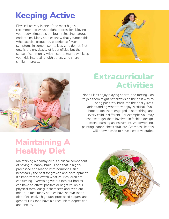### Keeping Active

Physical activity is one of the most highly recommended ways to fight depression. Moving your body stimulates the brain releasing natural endorphins. Many studies show that younger kids who exercise frequently experience fewer symptoms in comparison to kids who do not. Not only is the physicality of it beneficial, but the sense of community within sports teams will keep your kids interacting with others who share similar interests.





#### Extracurricular Activities

Not all kids enjoy playing sports, and forcing kids to join them might not always be the best way to bring positivity back into their daily lives. Understanding what they enjoy is critical if you hope to get them engaged in something, and every child is different. For example, you may choose to get them involved in fashion design, pottery, learning an instrument, woodworking, painting, dance, chess club, etc. Activities like this will allow a child to have a creative outlet.

#### Maintaining A Healthy Diet

Maintaining a healthy diet is a critical component of having a "happy brain." Food that is highly processed and loaded with hormones isn't necessarily the best for growth and development. It's important to watch what your children are consuming. Everything we put into our bodies can have an effect, positive or negative, on our physical form, our gut chemistry, and even our minds. In fact, many studies have shown that a diet of excessive high fats, processed sugars, and general junk food have a direct link to depression and anxiety.

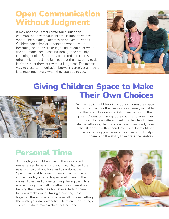#### Open Communication Without Judgment

It may not always feel comfortable, but open communication with your children is imperative if you want to help manage depression or even prevent it. Children don't always understand who they are becoming, and they are trying to figure out a lot while their hormones are pulsating through their rapidly changing bodies. Some may be scared and confused, and others might rebel and lash out, but the best thing to do is simply hear them out without judgment. The fastest way to close communication between caregiver and child is to react negatively when they open up to you.



#### Giving Children Space to Make Their Own Choices



As scary as it might be, giving your children the space to think and act for themselves is extremely valuable to their cognitive growth. Kids often get lost in their parents' identity making it their own, and when they start to have different feelings they tend to feel shame. Allowing them to wear what they want, have that sleepover with a friend, etc. Even if it might not be something you necessarily agree with. It helps them with the ability to express themselves.

#### Personal Time

Although your children may pull away and act embarrassed to be around you, they still need the reassurance that you love and care about them. Spend personal time with them and allow them to connect with you on a deeper level, opening the gates of trust and understanding. Taking them to a movie, going on a walk together to a coffee shop, helping them with their homework, letting them help you make dinner, taking a painting class together, throwing around a baseball, or even letting them into your daily work life. There are many things you could do to make a child feel included.

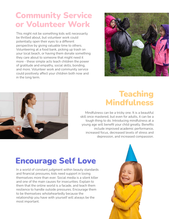#### Community Service or Volunteer Work

This might not be something kids will necessarily be thrilled about, but volunteer work could potentially open their eyes to a different perspective by giving valuable time to others. Volunteering at a food bank, picking up trash on your local beach, or having them donate something they care about to someone that might need it more - these simple acts teach children the power of gratitude and empathy, social skills, bonding, and more. Volunteer work and community service could positively affect your children both now and in the long term.





#### **Teaching** Mindfulness

Mindfulness can be a tricky one. It is a beautiful skill once mastered, but even for adults, it can be a tough thing to do. Introducing mindfulness at a young age will benefit your child greatly. Benefits include improved academic performance, increased focus, decreased levels of stress and depression, and increased compassion.

#### Encourage Self Love

In a world of constant judgment within beauty standards and financial pressures, kids need support in loving themselves more than ever. Social media is a silent killer and one of the main causes for insecurities. Explain to them that the online world is a facade, and teach them resilience to handle outside pressures. Encourage them to be themselves wholeheartedly because the relationship you have with yourself will always be the most important.

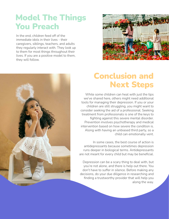#### Model The Things You Preach

In the end, children feed off of the immediate idols in their lives - their caregivers, siblings, teachers, and adults they regularly interact with. They look up to them for most things throughout their lives. If you are a positive model to them, they will follow.





#### Conclusion and Next Steps

While some children can heal with just the tips we've shared here, others might need additional tools for managing their depression. If you or your children are still struggling, you might want to consider seeking the aid of a professional. Seeking treatment from professionals is one of the keys to fighting against this severe mental disorder. Prevention involves psychotherapy and medical intervention based on how severe the condition is. Along with having an unbiased third party, so a child can emotionally vent.

In some cases, the best course of action is antidepressants because sometimes depression runs deeper in biological terms. Antidepressants are not meant for every child but may be beneficial.

Depression can be a scary thing to deal with, but you're not alone, and there is help out there. You don't have to suffer in silence. Before making any decisions, do your due diligence in researching and finding a trustworthy provider that will help you along the way.